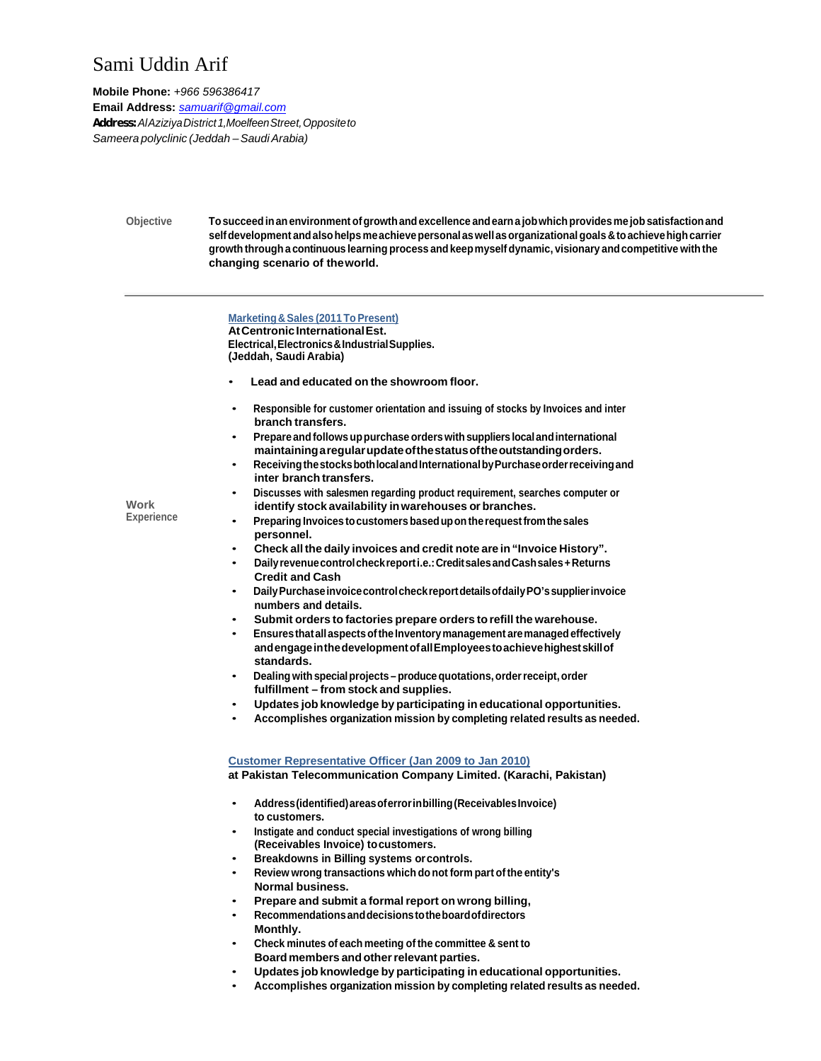## Sami Uddin Arif

**Mobile Phone:** *+966 596386417*  **Email Address:** *samuarif@gmail.com Address: Al Aziziya District 1,Moelfeen Street, Opposite to Sameera polyclinic (Jeddah – Saudi Arabia)* 

> **Objective To succeed in an environment of growth and excellence and earn a job which provides me job satisfaction and self development and also helps me achieve personal as well as organizational goals & to achieve high carrier growth through a continuous learning process and keep myself dynamic, visionary and competitive with the changing scenario of the world.**

## **Marketing & Sales (2011 To Present)**

**At Centronic International Est. Electrical, Electronics & Industrial Supplies. (Jeddah, Saudi Arabia)**

- **Lead and educated on the showroom floor.**
- **Responsible for customer orientation and issuing of stocks by Invoices and inter branch transfers.**
- **Prepare and follows up purchase orders with suppliers local and international maintaining a regular update of the status of the outstanding orders.**
- **Receiving the stocks both local and International by Purchase order receiving and inter branch transfers.**
- **Discusses with salesmen regarding product requirement, searches computer or identify stock availability in warehouses or branches.**
- **Preparing Invoices to customers based up on the request from the sales personnel.** 
	- **Check all the daily invoices and credit note are in "Invoice History".**
	- **Daily revenue control check report i.e.: Credit sales and Cash sales + Returns Credit and Cash**
- **Daily Purchase invoice control check report details of daily PO's supplier invoice numbers and details.**
- **Submit orders to factories prepare orders to refill the warehouse.**
- **Ensures that all aspects of the Inventory management are managed effectively and engage in the development of all Employees to achieve highest skill of standards.**
- **Dealing with special projects produce quotations, order receipt, order fulfillment – from stock and supplies.**
- **Updates job knowledge by participating in educational opportunities.**
- **Accomplishes organization mission by completing related results as needed.**

**Customer Representative Officer (Jan 2009 to Jan 2010) at Pakistan Telecommunication Company Limited. (Karachi, Pakistan)** 

- **Address (identified) areas of error in billing (Receivables Invoice) to customers.**
- **Instigate and conduct special investigations of wrong billing (Receivables Invoice) to customers.**
- **Breakdowns in Billing systems or controls.**
- **Review wrong transactions which do not form part of the entity's Normal business.**
- **Prepare and submit a formal report on wrong billing,**
- **Recommendations and decisions to the board of directors Monthly.**
- **Check minutes of each meeting of the committee & sent to Board members and other relevant parties.**
- **Updates job knowledge by participating in educational opportunities.**
- **Accomplishes organization mission by completing related results as needed.**

**Work Experience**